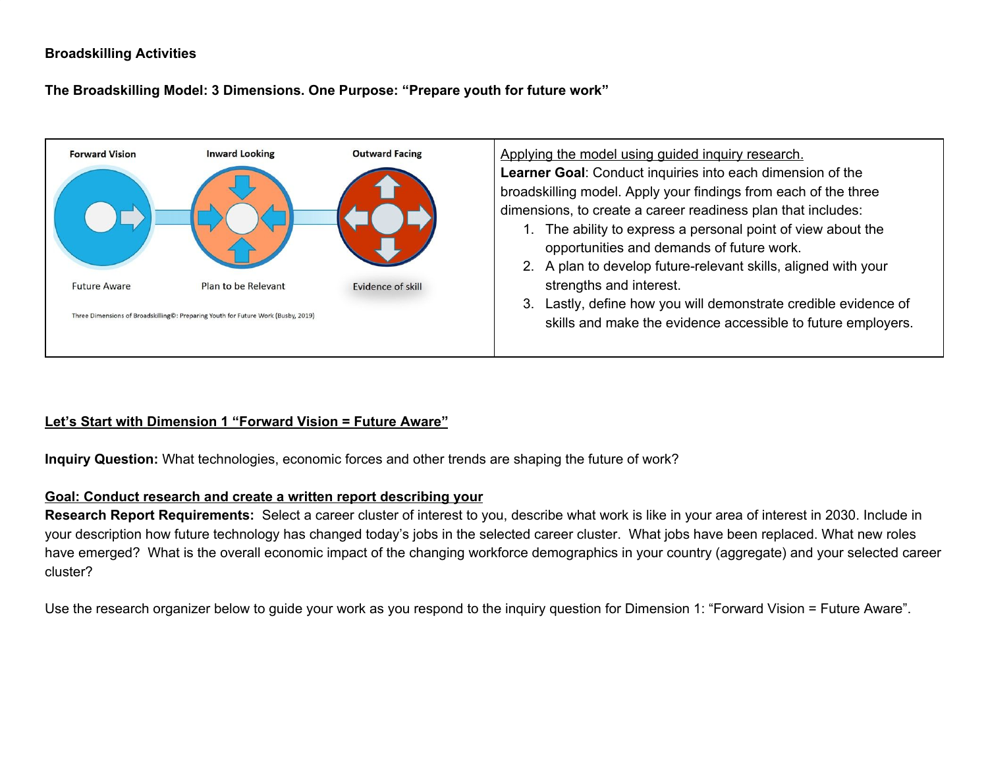### **Broadskilling Activities**

**The Broadskilling Model: 3 Dimensions. One Purpose: "Prepare youth for future work"**



### **Let's Start with Dimension 1 "Forward Vision = Future Aware"**

**Inquiry Question:** What technologies, economic forces and other trends are shaping the future of work?

#### **Goal: Conduct research and create a written report describing your**

**Research Report Requirements:** Select a career cluster of interest to you, describe what work is like in your area of interest in 2030. Include in your description how future technology has changed today's jobs in the selected career cluster. What jobs have been replaced. What new roles have emerged? What is the overall economic impact of the changing workforce demographics in your country (aggregate) and your selected career cluster?

Use the research organizer below to guide your work as you respond to the inquiry question for Dimension 1: "Forward Vision = Future Aware".